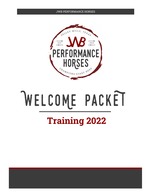#### JWB PERFORMANCE HORSES



# WELCOME PACKET

### **Training 2022**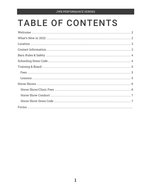### **TABLE OF CONTENTS**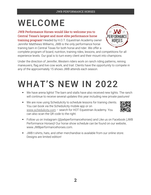### WELCOME

JWB Performance Horses would like to welcome you to Central Texas's largest and most elite performance horse

training program! Headed by H.O.T. Equestrian Academy owner Jennifer Matthews Williams, JWB is the only performance horse training barn in Central Texas for both horse *and* rider. We offer a



Under the direction of Jennifer, Western riders work on ranch riding patterns, reining maneuvers, flag and live cow work, and trail. Clients have the opportunity to compete in any of the approximately 15 shows JWB attends each season.

# WHAT'S NEW IN 2022

- We have arena lights! The barn and stalls have also received new lights. The ranch will continue to receive several updates this year including new private pastures!
- We are now using Schedulicity to schedule lessons for training clients. You can book via the Schedulicity mobile app or on [www.schedulicity.com](http://www.schedulicity.com/) – search for HOT Equestrian Academy. You can also scan the QR code to the right.



- Follow us on Instagram (@jwbperformancehorses) and Like us on Facebook (JWB Performance Horses)! Our horse show schedule can be found on our website, www.JWBperformancehorses.com.
- JWB t-shirts, hats, and other merchandise is available from our online store. Designs are limited edition!

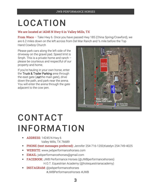# LOCATION

#### We are located at 14245 N Hwy 6 in Valley Mills, TX

From Waco - Take Hwy 6. Once you have passed Hwy 185 (China Spring/Crawford), we are 6.2 miles down on the left across from Del Mar Ranch and ½ mile before the Top Hand Cowboy Church

Please park cars along the left side of the driveway on the gravel pad. Speed limit is 5mph. This is a private home and ranch – please be courteous and respectful of our property and home.

If you're hauling in your own horse, enter the Truck & Trailer Parking area through the east gate (not *the main gate*), drive down the path, and park near the arena. You will enter the arena through the gate adjacent to the cow pen.



### CONTACT INFORMATION

- $\blacksquare$  ADDRESS: 14245 N Hwy 6 Valley Mills, TX 76689
- **PHONE (text messages preferred)**: Jennifer 254-716-1200;Katelyn 254-749-4025
- WEBSITE: www.jwbperformancehorses.com
- EMAIL: jwbperformancehorses@gmail.com
- FACEBOOK: JWB Performance Horses (@JWBperformancehorses) H.O.T. Equestrian Academy (@hotequestrianacademy)
- INSTAGRAM: @jwbperformancehorses #JWBPerformanceHorses #JWB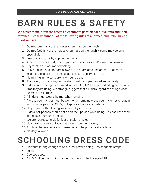### BARN RULES & SAFETY

We strive to maintain the safest environment possible for our clients and their families. Please be mindful of the following rules at all times, and if you have a question…ASK!

- 1. **Do not touch** any of the horses or animals on the ranch
- 2. **Do not feed** any of the horses or animals on the ranch some may be on a special diet
- 3. Lessons and tours by appointment only
- 4. Arrive 10 minutes early to complete any paperwork and/or make a payment
- 5. Payment is due at time of booking
- 6. Only students and staff are allowed in the barn area and arena. To observe lessons, please sit in the designated lesson observation area
- 7. No running in the barn, arena, or round pens
- 8. Any safety instruction given by staff must be implemented immediately
- 9. Riders under the age of 18 must wear an ASTM/SEI approved riding helmet any time they are riding. We strongly suggest that all riders regardless of age wear helmets at all times
- 10. All riders must wear a helmet when jumping
- 11. A cross country vest must be worn when jumping cross country jumps or stadium jumps in the pasture. ASTM/SEI approved vests are preferred
- 12. No jumping without being supervised by an instructor
- 13. Riders' cell phones should not be on their person while riding please keep them in the tack room or in the car
- 14. We are not responsible for lost or stolen articles
- 15. No smoking or use of tobacco products on the property
- 16. Alcoholic beverages are not permitted on the property at any time
- 17. No dogs allowed

### SCHOOLING DRESS CODE

- Shirt that is long enough to be tucked in while riding no spaghetti straps
- **Jeans**
- **Cowboy boots**
- ASTM/SEI certified riding helmet for riders under the age of 18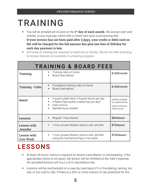# TRAINING

- You will be emailed an invoice on the **1st day of each month**. We accept cash and checks, or you may pay online with a credit card (plus a processing fee). **If your invoice has not been paid after 2 days, your credit or debit card on file will be charged for the full amount due plus late fees of \$25/day for each day payment is late.**
- All horses in training are required to board at our facility. We do not offer boarding to horses that are not currently in a training program.

| <b>TRAINING &amp; BOARD FEES</b>      |                                                                                                                                                                       |                                                                             |
|---------------------------------------|-----------------------------------------------------------------------------------------------------------------------------------------------------------------------|-----------------------------------------------------------------------------|
| Training                              | Training rides on horse<br>٠<br>Board (see below)                                                                                                                     | \$1200/month                                                                |
| <b>Training - Colts</b>               | Foundation training rides on horse<br>٠<br>Board (see below)<br>$\blacksquare$                                                                                        | \$1400/month                                                                |
| <b>Board</b>                          | 4 quarts pellet feed or Equine Senior per day<br>٠<br>4 flakes high-quality coastal hay per day*<br>п<br>Daily turnout<br>٠<br>Blanketing as needed<br>$\blacksquare$ | *alfalfa available<br>for additional fee<br>stall w/shavings<br>+\$50/month |
| <b>Lessons</b>                        | Regular 1-hour lesson<br>п                                                                                                                                            | \$60/lesson                                                                 |
| <b>Lesson with</b><br><b>Jennifer</b> | 1-hour private Western lesson with Jennifer<br>$\blacksquare$                                                                                                         | \$75/lesson                                                                 |
| <b>Lesson with</b><br><b>Cow Work</b> | 1-hour private Western lesson with Jennifer<br>٠<br>using the mechanical flag or live cattle                                                                          | \$100/lesson                                                                |

### LESSONS

- At least 24 hours' notice is required for lesson cancellation or rescheduling. If the appropriate notice is not given, the lesson will be forfeited at the rider's expense. *All* cancelled lessons will incur a \$10 cancellation fee.
- **Lessons will be rescheduled on a case by case basis if it is thundering, raining, too** wet, or too cold to ride. If there is a 50% or more chance of rain predicted for the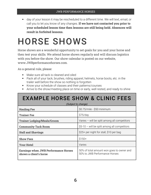day of your lesson it may be rescheduled to a different time. We will text, email, or call you to let you know of any changes. **If we have not contacted you prior to your scheduled lesson time then lessons are still being held. Absences will result in forfeited lessons.**

### HORSE SHOWS

Horse shows are a wonderful opportunity to set goals for you and your horse and then test your skills. We attend horse shows regularly and will discuss logistics with you before the show. Our show calendar is posted on our website, www.JWBperformancehorses.com.

As a general rule, please:

- Make sure all tack is cleaned and oiled
- Pack all of your tack, brushes, riding apparel, helmets, horse boots, etc. in the trailer well before the show so nothing is forgotten
- Know your schedule of classes and their patterns/courses
- Arrive to the show/meeting place on time or early, well rested, and ready to shine

| <b>EXAMPLE HORSE SHOW &amp; CLINIC FEES</b><br>(Subject to change)    |                                                                            |  |
|-----------------------------------------------------------------------|----------------------------------------------------------------------------|--|
| <b>Hauling Fee</b>                                                    | \$0.75/mile - \$50 minimum                                                 |  |
|                                                                       |                                                                            |  |
| <b>Trainer Fee</b>                                                    | \$75/day                                                                   |  |
| <b>Trainer Lodging/Meals/Groom</b>                                    | Varies $-$ will be split among all competitors                             |  |
| <b>Community Tack Room</b>                                            | $$5-10$ – will be split among all competitors                              |  |
| <b>Stall and Shavings</b>                                             | \$25+ per night for stall, \$10 per bag                                    |  |
| <b>Show Fees</b>                                                      | $$150+$                                                                    |  |
| <b>Your Hotel</b>                                                     | Varies                                                                     |  |
| <b>Earnings when JWB Performance Horses</b><br>shows a client's horse | 50% of total amount won goes to owner and<br>50% to JWB Performance Horses |  |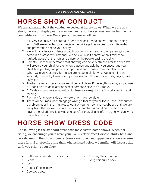### HORSE SHOW CONDUCT

We are adamant about the conduct expected at horse shows. When we are at a show, we are on display in the way we handle our horses *and* how we handle the competitive atmosphere. Our expectations are as follows:

- 1. It is very expensive for parents to send their children to shows. Students riding with JWB are expected to appreciate the privilege they've been given. Be rested and prepared to ride to your ability.
- 2. We will not tolerate students  $-$  youth or adults  $-$  to treat us, their parents, or their horse in a disrespectful manner. We believe in self-control when it relates to "attitude abuse" of the horses, trainers, or the people paying the bills.
- 3. Parents Please understand that showing can be very stressful for the rider. We will prepare your child for their show classes and ask that you encourage your child, take photos, and provide support and enthusiasm from the bleachers.
- 4. When we sign your entry forms, we are responsible for you. We take this very seriously. Please try to make our jobs easier by following show rules, paying fees early, etc.
- 5. The barn area and tack rooms must be kept clean. Put everything away as you use it – don't plan to do it later or expect someone else to do it for you.
- 6. At 2+ day shows we (along with volunteers) are responsible for stall cleaning and feeding.
- 7. Payment for shows is due one week prior the show date.
- 8. There will be times when things go wrong either for you or for us. If you encounter a problem at or in the ring, please control your temper and vocabulary until we are away from the back/entry gate. Emotions tend to run hot at competitions so having a cool off time is a wise choice. After that, please inform us so we can work towards a solution.

### HORSE SHOW DRESS CODE

The following is the standard dress code for Western horse shows. When not riding, we encourage you to wear your JWB Performance Horses t-shirts, hats, and jackets around the show grounds. Some sanctioned and upper-level shows require more formal or specific attire than what is listed below – Jennifer will discuss this with you prior to your show.

- Button-up show shirt  $-$  any color
- Jeans
- Belt
- Chaps, if necessary
- **Cowboy boots**
- Cowboy Hat or helmet
- **Long hair pulled back**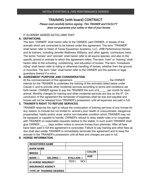#### TRAINING (with board) CONTRACT

Please read carefully before signing. This TRAINER and FACILITY does not guarantee your safety or that of your horses

#### IT IS HEREBY AGREED AS FOLLOWS THAT:

#### **A. DEFINITIONS.**

The term "OWNER" shall herein refer to the OWNER, part-OWNER, or lessee of the animals which are contracted to be trained under this agreement. The term "TRAINER" shall herein refer to Heart of Texas Equestrian Academy, LLC, JWB Performance Horses, and its trainers, including Jennifer Matthews Williams, and other agents, contractors, heirs. The terms "horses" and "animals" shall herein refer to all equine species, and also to the specific animal or animals to which this agreement refers. The term "train" or "training" shall herein refer to the schooling, conditioning, and education of horses. The term "horseback riding" shall herein refer to riding or otherwise handling of horses, whether from the ground or mounted. The term "rider" shall herein refer to the OWNER and the parents or legal guardians thereof if a minor.

#### **B. AGREEMENT PURPOSE AND CONSIDERATION.**

At the commencement of this agreement, the OWNER state of this agreement, intends for the TRAINER to undertake the training of the animal(s) listed below under Clause C and to provide other incidental services according to terms and conditions set forth herein. OWNER agrees to pay the TRAINER the sum of \$ \_\_\_\_ per month for each animal. Monthly charges for training and other incidental services are due on the  $5<sup>th</sup>$ . On conclusion of this agreement the remainder of expenses shall be due and payable and horses will not be released from TRAINER's possession until all expenses are paid in full.

#### **C. TRAINER'S RIGHT TO REFUSE SERVICES.**

TRAINER reserves the right to refuse the continuation of training services of any horses for any reason, to include but not limited to: animal's poor health or unsoundness; dangerous propensities; habits and/or vices; and/or non-trainable condition which TRAINER may not be equipped or capable to handle; OWNER's refusal to obey stable rules or to cooperate with TRAINER on reasonable requests relative to the stable. In such event TRAINER shall give OWNER days written notice to remove horses from premises. After all fees have been paid in full this agreement is concluded. Failure to pay training and other fees as due shall also entitle TRAINER to immediately terminate this agreement and to keep the animals in the TRAINER's possession until all fees and charges are paid in full.

#### **D. HORSE INFORMATION.**

|                                 | <b>REGISTERED NAME</b>   |            |     |              |  |
|---------------------------------|--------------------------|------------|-----|--------------|--|
| <b>BARN NAME</b>                |                          |            |     |              |  |
| <b>BREED</b>                    |                          |            |     | <b>COLOR</b> |  |
| MARE $\square$                  | GELDING □                | STALLION O |     | <b>AGE</b>   |  |
|                                 | <b>IS HORSE INSURED?</b> | YES⊡       | NOT |              |  |
| <b>INSURANCE AGENCY</b>         |                          |            |     |              |  |
| <b>TYPE OF TRAINING DESIRED</b> |                          |            |     |              |  |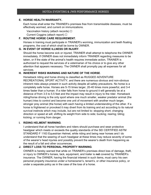#### **E. HORSE HEALTH WARRANTY.**

Each horse shall enter the TRAINER's premises free from transmissible diseases, must be effectively wormed, and current on immunizations.

Vaccination history (attach records) □

Current Coggins (attach report) □

#### **F. ROUTINE HORSE CARE REQUIREMENT.**

Horses in training must participate in TRAINER's worming, immunization and teeth floating programs, the cost of which shall be borne by OWNER.

#### **G. IN EVENT OF HORSE ILLNESS OR INJURY**.

Should the horse become sick or injured, TRAINER shall attempt to telephone the OWNER immediately. If OWNER does not immediately inform TRAINER regarding measures to be taken, or if the state of the animal's health requires immediate action, TRAINER is authorized to request the services of a veterinarian of his choice or to give any other attention that appears necessary. The OWNER shall promptly pay all expenses for all services.

#### **H. INHERENT RISKS WARNING AND NATURE OF THE HORSE**.

Horseback riding and horse driving is classified as RUGGED ADVENTURE RECREATIONAL SPORT ACTIVITY, and there are numerous obvious and non-obvious inherent risks always present in such activity despite all safety precautions. No horse is a completely safe horse. Horses are 5-15 times larger, 20-40 times more powerful, and 3-4 times faster than a human. If a rider falls from horse to ground it will generally be at a distance of from 3.5 to 5.5 feet and the impact may result in injury to the rider. Horseback riding/horse driving is the only sport where one much smaller, weaker predator animal (the human) tries to control and become one unit of movement with another much larger, stronger prey animal (the horse) with each having a limited understanding of the other. If a horse is frightened or provoked it may divert from its training and act according to its natural survival instincts which may include, but are not limited to: stopping short; changing direction or speed at will; shifting its weight from side to side; bucking; rearing; biting; kicking; or running from danger.

#### **I. RIDING HELMENT WARNING**.

I understand that all horse handlers and riders should purchase and wear protective headgear which meets or exceeds the quality standards of the SEI CERTIFIED ASTM STANDARD F 1163 Equestrian Helmet, while riding and being near horses and I do understand that the wearing of such headgear at these times may reduce severity of some of the wearer's head injuries and possibly prevent the wearer's death from happening as the result of a fall and other occurrences.

#### **J. DIRECT LOSS TO PERSONAL PROPERTY WARNING**.

OWNER is hereby warned that while on TRAINER's premises direct loss of damage, theft, or injury to OWNER's horses, tack, equipment, and trailer is **not** covered by TRAINER's insurance. The OWNER, having the financial interest in such items, must carry his own personal property insurance under a homeowner's, tenant's, or other insurance policy, or under a separate policy as in the case of the loss of a horse.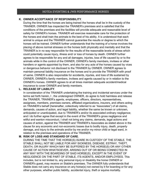#### **K. OWNER ACCEPTANCE OF RESPONSIBILITY**.

During the time that the horses are being trained the horses shall be in the custody of the TRAINER. OWNER has inspected the TRAINER's premises and is satisfied that the conditions of the premises and the facilities will provide adequate and reasonable level of safety for OWNER's horses. TRAINER will exercise reasonable care for the protection of the horses and shall train the animals to the best of his ability. It is understood that each animal is unique and the TRAINER cannot guarantee the results or degree to which the horses will be trained. OWNER further understands that the training of a horse involves the placing of above normal stresses on the horses both physically and mentally and that the TRAINER is in no way responsible for the results of the reasonable levels of stress which could potentially cause injury, illness and/ or loss of horses by death. OWNER further agrees to be responsible for any and all damages, injuries, loss of life caused by or to the animals while in the control of the OWNER, OWNER's family members, invitees or other handlers or agents appointed by them, and also for any acts of the horses caused by vices or dangerous behavior not disclosed to the TRAINER by OWNER. OWNER agrees to maintain personal liability insurance on the horses and to provide the TRAINER with proof of same. OWNER is also responsible for accidents, injuries, and loss of life sustained by OWNER, OWNER's family members, invitees and agents caused by or in relation to the OWNER's horses. OWNER agrees to at all times maintain adequate accident/medical insurance to cover OWNER and family members.

#### **L. RELEASE OF LIABILITY**.

In consideration of the TRAINER undertaking the training and incidental services under the terms set forth herein, I , the undersigned OWNER, do agree to hold harmless and release the TRAINER, TRAINER's agents, employees, officers, directors, representatives, assignees, members, premises owners, affiliated organizations, insurers, and others acting on TRAINER's behalf (hereinafter, collectively referred to as "Associates") of all claims, demands, causes of action, and legal liability, whether the same be known or unknown, anticipated or unanticipated, due to TRAINER's and/or its associated ordinary negligence; and I do further agree that except in the event of the TRAINER's gross negligence and willful and wanton misconduct, I shall not bring any claims, demands, legal actions and causes of action, against the TRAINER and TRAINER's Associates as stated above in the clause for any economic and non-economic losses due to bodily injury, death, property damage, and injury to the animals and/or by me and/or my minor child or legal ward, in relation to the premises and operations of the TRAINER.

#### **M. RISK OF LOSS AND STANDARD OF CARE**.

DURING THE TIME THAT THE HORSE(S) IS/ARE IN CUSTODY OF THE STABLE, THE STABLE SHALL NOT BE LIABLE FOR ANY SICKNESS, DISEASE, ESTRAY, THEFT, DEATH, OR INJURY WHICH MAY BE SUFFERED BY THE HORSE(S) OR ANY OTHER CAUSE OF ACTION WHATSOEVER, ARISING OUT OF OR BEING CONNECTED IN ANY WAY WITH THE BOARDING OF SAID HORSE(S), EXCEPT IN THE EVENT OF NEGLIGENCE ON THE PART OF STABLE, ITS AGENTS, AND/OR EMPLOYEES. This includes, but is not limited to, any personal injury or disability the horse OWNER or OWNER's guest, may receive on Stable's premises. The OWNER fully understands that Stable does not carry any insurance on any horse(s) not owned by it for boarding or for any other purposes, whether public liability, accidental injury, theft or equine mortality.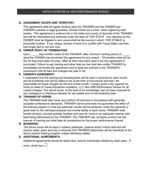#### **N. AGREEMENT SCOPE AND TERRITORY**.

This agreement shall be legally binding upon the TRAINER and the OWNER and OWNER's parents or legal guardians, should Owner be a minor, when sighed by both parties. This agreement is entered into in the state and county of domicile of the TRAINER and will be interpreted and enforced under the laws of THIS STATE. Any disputes by the OWNER shall be litigated in and venue shall be the county in which THIS STABLE is physically located. If any clause, phrase of word is in conflict with Texas State Law then that single part is null and void.

#### **O. OWNER RIGHT OF TERMINATION**.

Upon days written notice to the TRAINER, after minimum training period of days the OWNER may terminate this agreement for any reason. Termination date will be the 30 days from date of notice. After all fees have been paid in full this agreement is concluded. Failure to pay training and other fees as due shall also entitle TRAINER to immediately terminate this agreement and to keep the animals in the TRAINER's possession until all fees and charges are paid in full.

#### **P. OWNER'S AGREEMENT.**

I understand that the training and boarding fees will be paid in advance for each month, and all incidental cost will be billed to me at the time of occurrence and that I am responsible for those charges by the end of that month. I hereby grant a lien against my horse to Heart of Texas Equestrian Academy, LLC dba JWB Performance Horses for all unpaid charges. The above horse, to the best of my knowledge, has not been exposed to any contagious or infectious disease for two weeks prior to this boarding date.

#### **Q. TRAINING OF HORSE**.

The TRAINER shall train horse and perform all services in accordance with generally accepted professional standards. TRAINER cannot and does not guarantee the effect of the training program or that any particular results will be achieved, since this depends a great deal on the individual physical and mental ability of each horse. TRAINER shall furnish all labor, provide suitable facilities and care for horse in an adequate manner with feed being determined by the TRAINER. The TRAINER has complete control over the manner of training and shall take all precautions for the proper performance thereof.

#### **R. BOARDING.**

The above horse will be kept in outdoor paddocks, pasture and/or indoor stall and will receive water, grain and hay in amounts that TRAINER determines will be beneficial to the above horse's training program unless otherwise stated.

#### **S. ADDITIONAL AGREEMENTS**.

Additional agreements should be listed here, and be individually initialed by each party. If

none, check box  $\Box$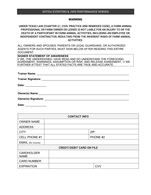#### HOTEA EVENTING & JWB PERFORMANCE HORSES

#### WARNING

#### UNDER TEXAS LAW (CHAPTER [87,](http://www.statutes.legis.state.tx.us/GetStatute.aspx?Code=CP&Value=87) CIVIL PRACTICE AND REMEDIES CODE), A FARM ANIMAL PROFESSIONAL OR FARM OWNER OR LESSEE IS NOT LIABLE FOR AN INJURY TO OR THE DEATH OF A PARTICIPANT IN FARM ANIMAL ACTIVITIES, INCLUDING AN EMPLOYEE OR INDEPENDENT CONTRACTOR, RESULTING FROM THE INHERENT RISKS OF FARM ANIMAL ACTIVITIES.

ALL OWNERS AND SPOUSES, PARENTS OR LEGAL GUARDIANS, OR AUTHORIZED AGENTS FOR SUCH PARTIES, MUST SIGN BELOW AFTER READING THIS ENTIRE DOCUMENT.

**SIGNER STATEMENT OF AWARENESS** I/ WE, THE UNDERSIGNED, HAVE READ AND DO UNDERSTAND THE FOREGOING AGREEMENT, WARNINGS, ASSUMPTION OR RISK, AND RELEASE AGREEMENT. I/ WE FURTHER ATTEST THAT ALL STATED FACTS ARE TRUE AND ACCURATE.

**Trainer Name:** \_\_\_\_\_\_\_\_\_\_\_\_\_\_\_\_\_\_\_\_\_\_\_\_\_\_\_\_\_\_\_\_\_\_\_\_\_\_\_\_\_\_\_\_\_\_\_\_\_\_\_\_\_\_\_\_\_\_\_\_\_

**Trainer Signature:** \_\_\_\_\_\_\_\_\_\_\_\_\_\_\_\_\_\_\_\_\_\_\_\_\_\_\_\_\_\_\_\_\_\_\_\_\_\_\_\_\_\_\_\_\_\_\_\_\_\_\_\_\_\_\_\_\_\_

**Date:** \_\_\_\_\_\_\_\_\_\_\_\_\_\_

| <b>Owner(s) Name:</b> |
|-----------------------|
|                       |

**Owner(s) Signature: Community Community System** 

**Date:** \_\_\_\_\_\_\_\_\_\_\_\_\_\_

| <b>CONTACT INFO</b>              |  |            |  |
|----------------------------------|--|------------|--|
| <b>OWNER NAME</b>                |  |            |  |
| <b>ADDRESS</b>                   |  |            |  |
| <b>CITY</b>                      |  | <b>ZIP</b> |  |
| <b>CELL PHONE #1</b>             |  | PHONE #2   |  |
| EMAIL (for invoice)              |  |            |  |
| <b>CREDIT/DEBIT CARD ON FILE</b> |  |            |  |
| <b>CARDHOLDER</b><br><b>NAME</b> |  |            |  |
| <b>CARD NUMBER</b>               |  |            |  |
| <b>EXPIRATION</b>                |  | <b>CVV</b> |  |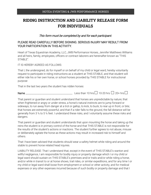#### **RIDING INSTRUCTION AND LIABILITY RELEASE FORM FOR INDIVIDUALS**

#### This form must be completed by and for each participant.

#### PLEASE READ CAREFULLY BEFORE SIGNING. SERIOUS INJURY MAY RESULT FROM YOUR PARTICIPATION IN THIS ACTIVITY.

Heart of Texas Equestrian Academy, LLC, JWB Performance Horses, Jennifer Matthews Williams and all heirs, family, employees, officers or contract laborers are hereinafter known as "THIS STABLE".

IT IS HEREBY AGREED AS FOLLOWS:

That I, the undersigned, do for myself or on behalf of my child or legal ward, hereby voluntarily request to participate in riding instructions as a student at THIS STABLE, and that student will either ride his or her own horse, or school horses provided by THIS STABLE for instructional purpose

That in the last two years the student has ridden horses:

Name \_\_\_\_\_\_\_\_\_\_\_\_\_\_\_\_\_\_\_\_\_\_\_\_\_\_\_\_\_\_\_\_\_\_\_\_\_\_\_\_ Less than 10 hrs☐10-20 hrs ☐20+ hrs☐

That parent or guardian and student understand that horses are unpredictable by nature; that when frightened or angry or under stress, a horse's natural instincts are to jump forward or sideways, to run away from danger at a trot or gallop, to kick, to buck, to rear up in front, or bite; that horses are extremely powerful; and that if a rider falls to the ground, the fall distance will be generally from 3 ½ to 5 ½ feet. I understand these risks, and I voluntarily assume these risks and dangers.

That parent or guardian and student understands that upon mounting the horse and taking up the reins the student is in primary control of the horse and that THIS STABLE is not responsible for the results of the student's actions or inactions. The student further agrees to not abuse, misuse or deliberately agitate the horse as these actions may result in increased risk to himself and others.

That I have been advised that students should wear a safety helmet while riding and around the stable to prevent horse related head injuries.

LIABILITY RELEASE: That I understand that, except in the event of THIS STABLE's wanton and willful negligence, I am responsible for bodily injury or property damage which I or my child or legal ward should sustain on THIS STABLE's premises and/or trails and/or while riding a horse, and/or while in transit to or at horse shows, trail rides, or similar expeditions, and for any time I or my child or legal ward shall loose from employment or school or other activity, and for medical expenses or any other expenses incurred because of such bodily or property damage and that I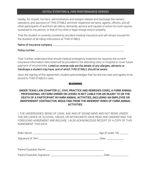#### HOTEA EVENTING & JWB PERFORMANCE HORSES

hereby, for myself, my heirs, administrators and assigns release and discharge the owners, operators, and sponsors of THIS STABLE and their respective servants, agents, officers, and all other participants of and from all claims, demands, actions and causes of action for such injuries sustained to my person, or that of my child or legal charge and/or property.

That the student is currently covered by accident-medical insurance and will remain insured for the duration of all riding instructions at THIS STABLE.

| Name of insurance company |  |
|---------------------------|--|
|---------------------------|--|

#### Policy number

That I further understand that should medical emergency treatment be required, the current insurance information here listed will be provided to the attending clinic or hospital to cover future payment of incurred bills. Listed on reverse side are the details of any allergies, ailments or handicaps a student may have, and of which THIS STABLE should be aware.

Upon the signing of this agreement, student acknowledges that he/she has read and agrees to be bound to THIS STABLE's rules.

#### WARNING

#### UNDER TEXAS LAW (CHAPTER [87,](http://www.statutes.legis.state.tx.us/GetStatute.aspx?Code=CP&Value=87) CIVIL PRACTICE AND REMEDIES CODE), A FARM ANIMAL PROFESSIONAL OR FARM OWNER OR LESSEE IS NOT LIABLE FOR AN INJURY TO OR THE DEATH OF A PARTICIPANT IN FARM ANIMAL ACTIVITIES, INCLUDING AN EMPLOYEE OR INDEPENDENT CONTRACTOR, RESULTING FROM THE INHERENT RISKS OF FARM ANIMAL ACTIVITIES.

I, THE UNDERSIGNED, BEING OF LEGAL AGE AND OF SOUND MIND AND NOT BEING UNDER THE INFLUENCE OF ALCOHOL, DRUGS, OR INTOXICANTS, HAVE READ AND UNDERSTAND THE FOREGOING AGREEMENT AND RELEASE. I ALSO ACKNOWLEDGE RECEIPT OF A COPY OF THIS AGREEMENT THIS DATE.

| Date: ________________ |
|------------------------|
|                        |
| Date: __________       |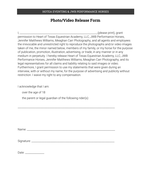#### **Photo/Video Release Form**

I, \_\_\_\_\_\_\_\_\_\_\_\_\_\_\_\_\_\_\_\_\_\_\_\_\_\_\_\_\_\_\_\_\_\_\_\_\_\_\_\_\_\_\_\_\_\_\_\_\_\_\_\_\_\_\_\_\_\_\_\_\_(please print), grant permission to Heart of Texas Equestrian Academy, LLC, JWB Performance Horses, Jennifer Matthews Williams, Meaghan Carr Photography, and all agents and employees the irrevocable and unrestricted right to reproduce the photographs and/or video images taken of me, the minor named below, members of my family, or my horse for the purpose of publication, promotion, illustration, advertising, or trade, in any manner or in any medium in perpetuity. I hereby release Heart of Texas Equestrian Academy, LLC, JWB Performance Horses, Jennifer Matthews Williams, Meaghan Carr Photography, and its legal representatives for all claims and liability relating to said images or video. Furthermore, I grant permission to use my statements that were given during an interview, with or without my name, for the purpose of advertising and publicity without restriction. I waive my right to any compensation.

I acknowledge that I am:

over the age of 18

the parent or legal guardian of the following rider(s):

Name:  $\blacksquare$ 

Signature: \_\_\_\_\_\_\_\_\_\_\_\_\_\_\_\_\_\_\_\_\_\_\_\_\_\_\_\_\_\_\_\_\_\_\_\_\_\_\_\_\_\_\_\_\_\_\_\_\_\_\_\_\_\_\_\_\_\_\_\_\_\_\_\_\_

\_\_\_\_\_\_\_\_\_\_\_\_\_\_\_\_\_\_\_\_\_\_\_\_\_\_\_\_\_\_\_\_\_\_\_\_\_\_\_\_\_\_\_\_\_\_\_\_\_\_\_\_\_\_\_\_\_\_\_\_\_\_\_\_\_\_\_\_\_\_\_\_\_\_\_\_

Date:  $\Box$